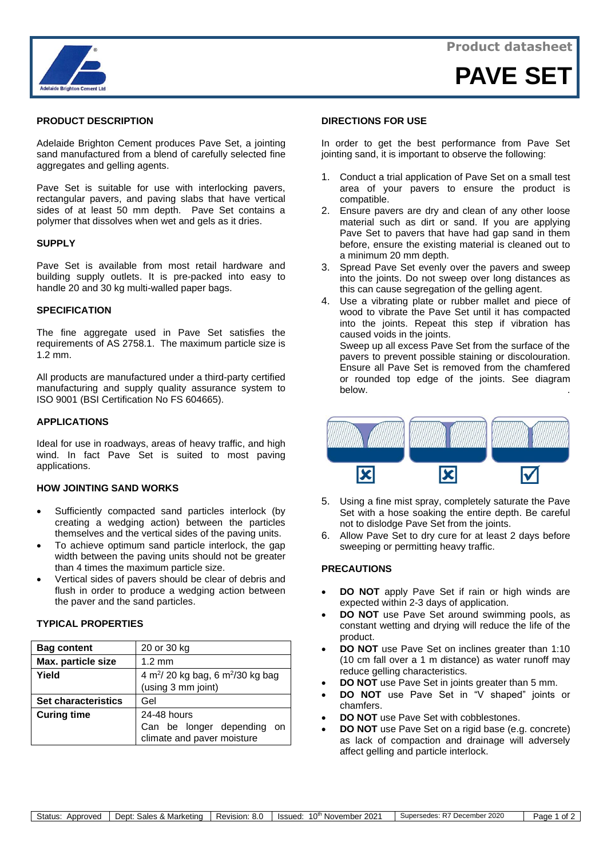



## **PRODUCT DESCRIPTION**

Adelaide Brighton Cement produces Pave Set, a jointing sand manufactured from a blend of carefully selected fine aggregates and gelling agents.

Pave Set is suitable for use with interlocking pavers, rectangular pavers, and paving slabs that have vertical sides of at least 50 mm depth. Pave Set contains a polymer that dissolves when wet and gels as it dries.

#### **SUPPLY**

Pave Set is available from most retail hardware and building supply outlets. It is pre-packed into easy to handle 20 and 30 kg multi-walled paper bags.

## **SPECIFICATION**

The fine aggregate used in Pave Set satisfies the requirements of AS 2758.1. The maximum particle size is 1.2 mm.

All products are manufactured under a third-party certified manufacturing and supply quality assurance system to ISO 9001 (BSI Certification No FS 604665).

#### **APPLICATIONS**

Ideal for use in roadways, areas of heavy traffic, and high wind. In fact Pave Set is suited to most paving applications.

#### **HOW JOINTING SAND WORKS**

- Sufficiently compacted sand particles interlock (by creating a wedging action) between the particles themselves and the vertical sides of the paving units.
- To achieve optimum sand particle interlock, the gap width between the paving units should not be greater than 4 times the maximum particle size.
- Vertical sides of pavers should be clear of debris and flush in order to produce a wedging action between the paver and the sand particles.

#### **TYPICAL PROPERTIES**

| <b>Bag content</b>         | 20 or 30 kg                                              |
|----------------------------|----------------------------------------------------------|
| Max. particle size         | $1.2 \text{ mm}$                                         |
| Yield                      | 4 m <sup>2</sup> /20 kg bag, 6 m <sup>2</sup> /30 kg bag |
|                            | (using 3 mm joint)                                       |
| <b>Set characteristics</b> | Gel                                                      |
| <b>Curing time</b>         | 24-48 hours                                              |
|                            | Can be longer depending on<br>climate and paver moisture |

#### **DIRECTIONS FOR USE**

In order to get the best performance from Pave Set jointing sand, it is important to observe the following:

- 1. Conduct a trial application of Pave Set on a small test area of your pavers to ensure the product is compatible.
- 2. Ensure pavers are dry and clean of any other loose material such as dirt or sand. If you are applying Pave Set to pavers that have had gap sand in them before, ensure the existing material is cleaned out to a minimum 20 mm depth.
- 3. Spread Pave Set evenly over the pavers and sweep into the joints. Do not sweep over long distances as this can cause segregation of the gelling agent.
- 4. Use a vibrating plate or rubber mallet and piece of wood to vibrate the Pave Set until it has compacted into the joints. Repeat this step if vibration has caused voids in the joints. Sweep up all excess Pave Set from the surface of the pavers to prevent possible staining or discolouration. Ensure all Pave Set is removed from the chamfered or rounded top edge of the joints. See diagram below. .



- 5. Using a fine mist spray, completely saturate the Pave Set with a hose soaking the entire depth. Be careful not to dislodge Pave Set from the joints.
- 6. Allow Pave Set to dry cure for at least 2 days before sweeping or permitting heavy traffic.

#### **PRECAUTIONS**

- **DO NOT** apply Pave Set if rain or high winds are expected within 2-3 days of application.
- **DO NOT** use Pave Set around swimming pools, as constant wetting and drying will reduce the life of the product.
- **DO NOT** use Pave Set on inclines greater than 1:10 (10 cm fall over a 1 m distance) as water runoff may reduce gelling characteristics.
- **DO NOT** use Pave Set in joints greater than 5 mm.
- **DO NOT** use Pave Set in "V shaped" joints or chamfers.
- **DO NOT** use Pave Set with cobblestones.
- **DO NOT** use Pave Set on a rigid base (e.g. concrete) as lack of compaction and drainage will adversely affect gelling and particle interlock.